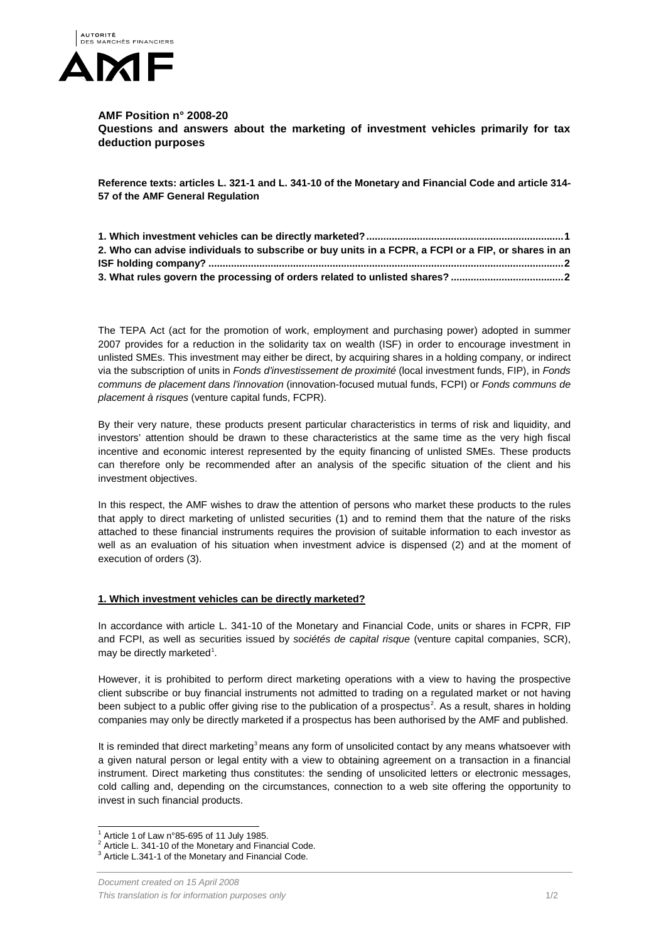

## **AMF Position n° 2008-20**

**Questions and answers about the marketing of investment vehicles primarily for tax deduction purposes**

**Reference texts: articles L. 321-1 and L. 341-10 of the Monetary and Financial Code and article 314- 57 of the AMF General Regulation**

| 2. Who can advise individuals to subscribe or buy units in a FCPR, a FCPI or a FIP, or shares in an |
|-----------------------------------------------------------------------------------------------------|
|                                                                                                     |
|                                                                                                     |

The TEPA Act (act for the promotion of work, employment and purchasing power) adopted in summer 2007 provides for a reduction in the solidarity tax on wealth (ISF) in order to encourage investment in unlisted SMEs. This investment may either be direct, by acquiring shares in a holding company, or indirect via the subscription of units in *Fonds d'investissement de proximité* (local investment funds, FIP), in *Fonds communs de placement dans l'innovation* (innovation-focused mutual funds, FCPI) or *Fonds communs de placement à risques* (venture capital funds, FCPR).

By their very nature, these products present particular characteristics in terms of risk and liquidity, and investors' attention should be drawn to these characteristics at the same time as the very high fiscal incentive and economic interest represented by the equity financing of unlisted SMEs. These products can therefore only be recommended after an analysis of the specific situation of the client and his investment objectives.

In this respect, the AMF wishes to draw the attention of persons who market these products to the rules that apply to direct marketing of unlisted securities (1) and to remind them that the nature of the risks attached to these financial instruments requires the provision of suitable information to each investor as well as an evaluation of his situation when investment advice is dispensed (2) and at the moment of execution of orders (3).

## <span id="page-0-0"></span>**1. Which investment vehicles can be directly marketed?**

In accordance with article L. 341-10 of the Monetary and Financial Code, units or shares in FCPR, FIP and FCPI, as well as securities issued by *sociétés de capital risque* (venture capital companies, SCR), may be directly marketed<sup>[1](#page-0-1)</sup>.

However, it is prohibited to perform direct marketing operations with a view to having the prospective client subscribe or buy financial instruments not admitted to trading on a regulated market or not having been subject to a public offer giving rise to the publication of a prospectus<sup>[2](#page-0-2)</sup>. As a result, shares in holding companies may only be directly marketed if a prospectus has been authorised by the AMF and published.

It is reminded that direct marketing<sup>[3](#page-0-3)</sup> means any form of unsolicited contact by any means whatsoever with a given natural person or legal entity with a view to obtaining agreement on a transaction in a financial instrument. Direct marketing thus constitutes: the sending of unsolicited letters or electronic messages, cold calling and, depending on the circumstances, connection to a web site offering the opportunity to invest in such financial products.

<span id="page-0-3"></span><span id="page-0-2"></span>

<span id="page-0-1"></span><sup>&</sup>lt;sup>1</sup> Article 1 of Law n°85-695 of 11 July 1985.<br><sup>2</sup> Article L. 341-10 of the Monetary and Financial Code.<br><sup>3</sup> Article L.341-1 of the Monetary and Financial Code.